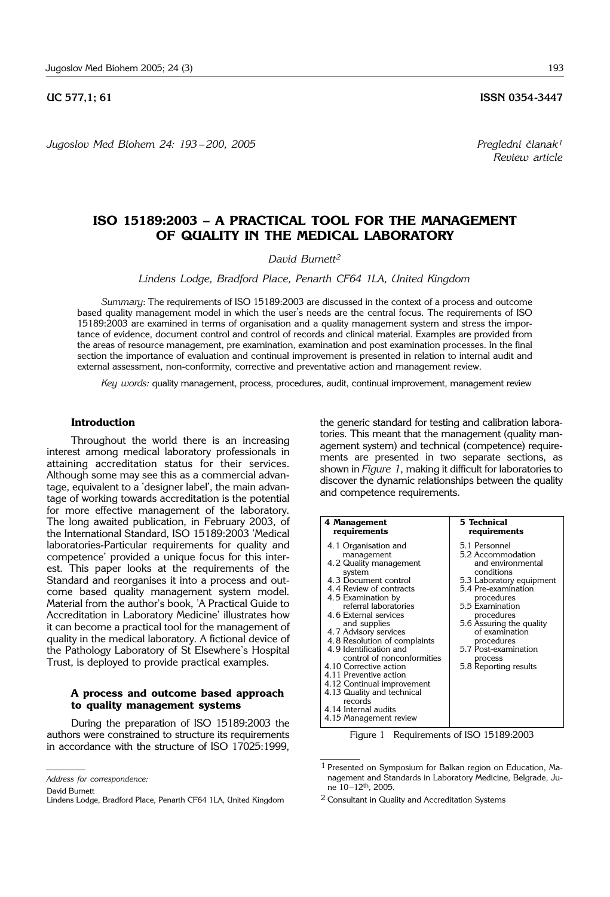*Jugoslov Med Biohem 24: 193* – *200, 2005 Pregledni ~lanak1*

**UC 577.1: 61** ISSN 0354-3447

*Review article*

# **ISO 15189:2003 – A PRACTICAL TOOL FOR THE MANAGEMENT OF QUALITY IN THE MEDICAL LABORATORY**

# *David Burnett2*

*Lindens Lodge, Bradford Place, Penarth CF64 1LA, United Kingdom*

*Summary*: The requirements of ISO 15189:2003 are discussed in the context of a process and outcome based quality management model in which the user's needs are the central focus. The requirements of ISO 15189:2003 are examined in terms of organisation and a quality management system and stress the importance of evidence, document control and control of records and clinical material. Examples are provided from the areas of resource management, pre examination, examination and post examination processes. In the final section the importance of evaluation and continual improvement is presented in relation to internal audit and external assessment, non-conformity, corrective and preventative action and management review.

*Key words:* quality management, process, procedures, audit, continual improvement, management review

## **Introduction**

Throughout the world there is an increasing interest among medical laboratory professionals in attaining accreditation status for their services. Although some may see this as a commercial advantage, equivalent to a 'designer label', the main advantage of working towards accreditation is the potential for more effective management of the laboratory. The long awaited publication, in February 2003, of the International Standard, ISO 15189:2003 'Medical laboratories-Particular requirements for quality and competence' provided a unique focus for this interest. This paper looks at the requirements of the Standard and reorganises it into a process and outcome based quality management system model. Material from the author's book, 'A Practical Guide to Accreditation in Laboratory Medicine' illustrates how it can become a practical tool for the management of quality in the medical laboratory. A fictional device of the Pathology Laboratory of St Elsewhere's Hospital Trust, is deployed to provide practical examples.

# **A process and outcome based approach to quality management systems**

During the preparation of ISO 15189:2003 the authors were constrained to structure its requirements in accordance with the structure of ISO 17025:1999,

David Burnett

Lindens Lodge, Bradford Place, Penarth CF64 1LA, United Kingdom

the generic standard for testing and calibration laboratories. This meant that the management (quality management system) and technical (competence) requirements are presented in two separate sections, as shown in *Figure 1*, making it difficult for laboratories to discover the dynamic relationships between the quality and competence requirements.

| 4 Management                                                                                                                                                                                                                                                                                                                                                                                                                                                                                                    | 5 Technical                                                                                                                                                                                                                                                                                     |
|-----------------------------------------------------------------------------------------------------------------------------------------------------------------------------------------------------------------------------------------------------------------------------------------------------------------------------------------------------------------------------------------------------------------------------------------------------------------------------------------------------------------|-------------------------------------------------------------------------------------------------------------------------------------------------------------------------------------------------------------------------------------------------------------------------------------------------|
| requirements                                                                                                                                                                                                                                                                                                                                                                                                                                                                                                    | requirements                                                                                                                                                                                                                                                                                    |
| 4.1 Organisation and<br>management<br>4.2 Quality management<br>system<br>4.3 Document control<br>4.4 Review of contracts<br>4.5 Examination by<br>referral laboratories<br>4.6 External services<br>and supplies<br>4.7 Advisory services<br>4.8 Resolution of complaints<br>4.9 Identification and<br>control of nonconformities<br>4.10 Corrective action<br>4.11 Preventive action<br>4.12 Continual improvement<br>4.13 Quality and technical<br>records<br>4.14 Internal audits<br>4.15 Management review | 5.1 Personnel<br>5.2 Accommodation<br>and environmental<br>conditions<br>5.3 Laboratory equipment<br>5.4 Pre-examination<br>procedures<br>5.5 Examination<br>procedures<br>5.6 Assuring the quality<br>of examination<br>procedures<br>5.7 Post-examination<br>process<br>5.8 Reporting results |

Figure 1 Requirements of ISO 15189:2003

*Address for correspondence:*

<sup>1</sup> Presented on Symposium for Balkan region on Education, Management and Standards in Laboratory Medicine, Belgrade, June 10–12th, 2005.

<sup>2</sup> Consultant in Quality and Accreditation Systems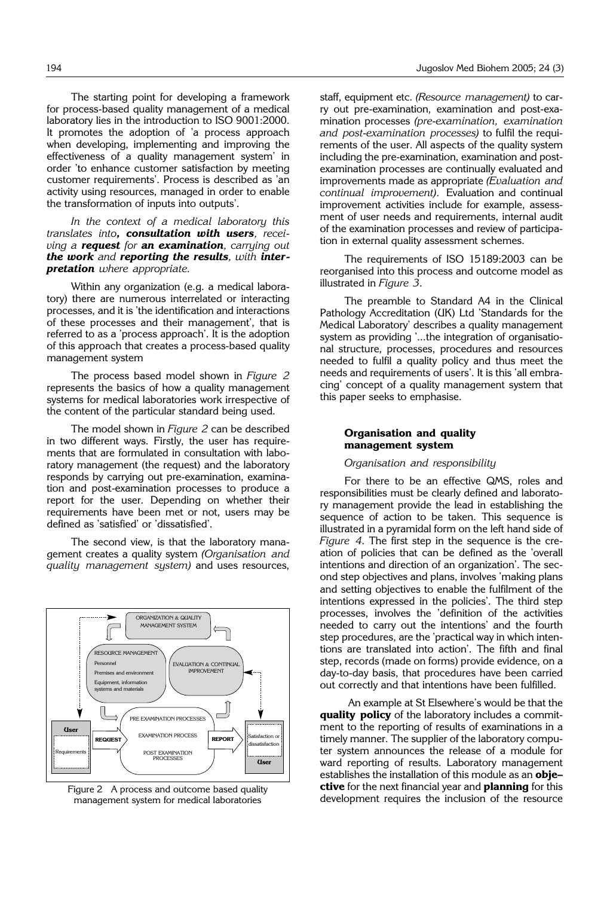The starting point for developing a framework for process-based quality management of a medical laboratory lies in the introduction to ISO 9001:2000. It promotes the adoption of 'a process approach when developing, implementing and improving the effectiveness of a quality management system' in order 'to enhance customer satisfaction by meeting customer requirements'. Process is described as 'an activity using resources, managed in order to enable the transformation of inputs into outputs'.

*In the context of a medical laboratory this translates into, consultation with users, receiving a request for an examination, carrying out the work and reporting the results, with interpretation where appropriate.*

Within any organization (e.g. a medical laboratory) there are numerous interrelated or interacting processes, and it is 'the identification and interactions of these processes and their management', that is referred to as a 'process approach'. It is the adoption of this approach that creates a process-based quality management system

The process based model shown in *Figure 2* represents the basics of how a quality management systems for medical laboratories work irrespective of the content of the particular standard being used.

The model shown in *Figure 2* can be described in two different ways. Firstly, the user has requirements that are formulated in consultation with laboratory management (the request) and the laboratory responds by carrying out pre-examination, examination and post-examination processes to produce a report for the user. Depending on whether their requirements have been met or not, users may be defined as 'satisfied' or 'dissatisfied'.

The second view, is that the laboratory management creates a quality system *(Organisation and quality management system)* and uses resources,



management system for medical laboratories

staff, equipment etc. *(Resource management)* to carry out pre-examination, examination and post-examination processes *(pre*-*examination, examination and post*-*examination processes)* to fulfil the requirements of the user. All aspects of the quality system including the pre-examination, examination and postexamination processes are continually evaluated and improvements made as appropriate *(Evaluation and continual improvement).* Evaluation and continual improvement activities include for example, assessment of user needs and requirements, internal audit of the examination processes and review of participation in external quality assessment schemes.

The requirements of ISO 15189:2003 can be reorganised into this process and outcome model as illustrated in *Figure 3*.

The preamble to Standard A4 in the Clinical Pathology Accreditation (UK) Ltd 'Standards for the Medical Laboratory' describes a quality management system as providing '...the integration of organisational structure, processes, procedures and resources needed to fulfil a quality policy and thus meet the needs and requirements of users'. It is this 'all embracing' concept of a quality management system that this paper seeks to emphasise.

## **Organisation and quality management system**

## *Organisation and responsibility*

For there to be an effective QMS, roles and responsibilities must be clearly defined and laboratory management provide the lead in establishing the sequence of action to be taken. This sequence is illustrated in a pyramidal form on the left hand side of *Figure 4*. The first step in the sequence is the creation of policies that can be defined as the 'overall intentions and direction of an organization'. The second step objectives and plans, involves 'making plans and setting objectives to enable the fulfilment of the intentions expressed in the policies'. The third step processes, involves the 'definition of the activities needed to carry out the intentions' and the fourth step procedures, are the 'practical way in which intentions are translated into action'. The fifth and final step, records (made on forms) provide evidence, on a day-to-day basis, that procedures have been carried out correctly and that intentions have been fulfilled.

An example at St Elsewhere's would be that the **quality policy** of the laboratory includes a commitment to the reporting of results of examinations in a timely manner. The supplier of the laboratory computer system announces the release of a module for ward reporting of results. Laboratory management establishes the installation of this module as an **objective** for the next financial year and **planning** for this Figure 2 A process and outcome based quality<br>management system for medical laboratories development requires the inclusion of the resource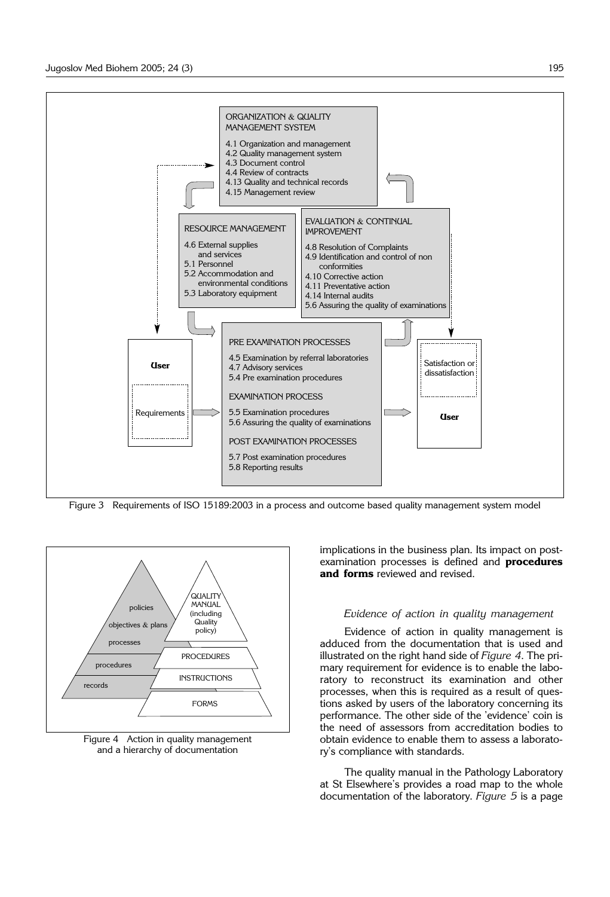

Figure 3 Requirements of ISO 15189:2003 in a process and outcome based quality management system model



Figure 4 Action in quality management and a hierarchy of documentation

implications in the business plan. Its impact on postexamination processes is defined and **procedures and forms** reviewed and revised.

## *Evidence of action in quality management*

Evidence of action in quality management is adduced from the documentation that is used and illustrated on the right hand side of *Figure 4*. The primary requirement for evidence is to enable the laboratory to reconstruct its examination and other processes, when this is required as a result of questions asked by users of the laboratory concerning its performance. The other side of the 'evidence' coin is the need of assessors from accreditation bodies to obtain evidence to enable them to assess a laboratory's compliance with standards.

The quality manual in the Pathology Laboratory at St Elsewhere's provides a road map to the whole documentation of the laboratory. *Figure 5* is a page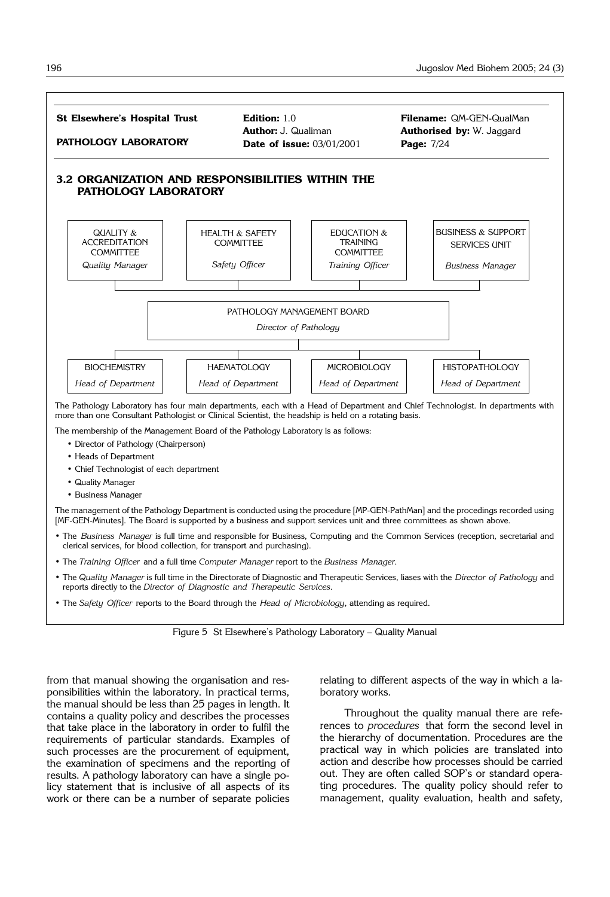

- Heads of Department
- Chief Technologist of each department
- Quality Manager
- Business Manager

The management of the Pathology Department is conducted using the procedure [MP-GEN-PathMan] and the procedings recorded using [MF-GEN-Minutes]. The Board is supported by a business and support services unit and three committees as shown above.

- The *Business Manager* is full time and responsible for Business, Computing and the Common Services (reception, secretarial and clerical services, for blood collection, for transport and purchasing).
- The *Training Officer* and a full time *Computer Manager* report to the *Business Manager*.
- The *Quality Manager* is full time in the Directorate of Diagnostic and Therapeutic Services, liases with the *Director of Pathology* and reports directly to the *Director of Diagnostic and Therapeutic Services*.
- The *Safety Officer* reports to the Board through the *Head of Microbiology*, attending as required.

Figure 5 St Elsewhere's Pathology Laboratory – Quality Manual

from that manual showing the organisation and responsibilities within the laboratory. In practical terms, the manual should be less than 25 pages in length. It contains a quality policy and describes the processes that take place in the laboratory in order to fulfil the requirements of particular standards. Examples of such processes are the procurement of equipment, the examination of specimens and the reporting of results. A pathology laboratory can have a single policy statement that is inclusive of all aspects of its work or there can be a number of separate policies relating to different aspects of the way in which a laboratory works.

Throughout the quality manual there are references to *procedures* that form the second level in the hierarchy of documentation. Procedures are the practical way in which policies are translated into action and describe how processes should be carried out. They are often called SOP's or standard operating procedures. The quality policy should refer to management, quality evaluation, health and safety,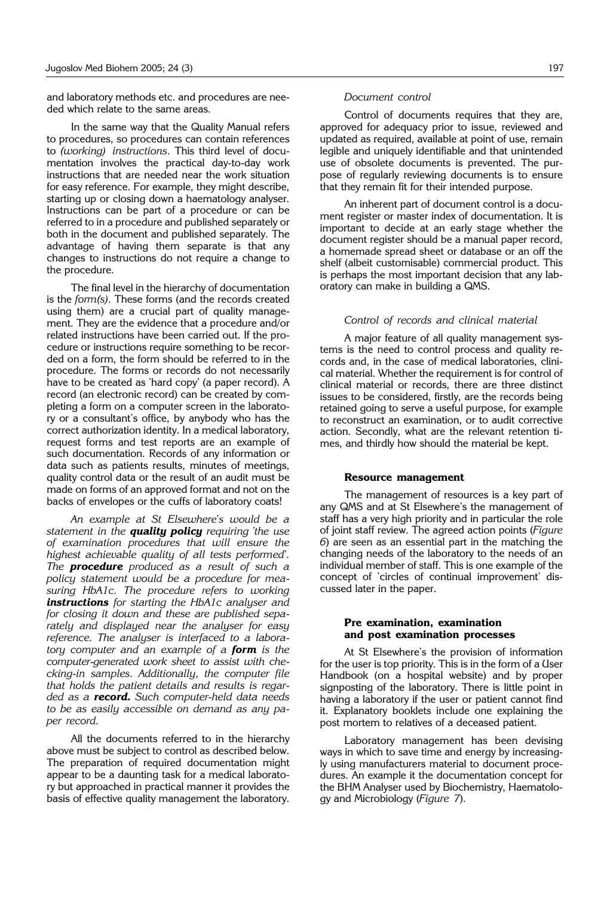and laboratory methods etc. and procedures are needed which relate to the same areas.

In the same way that the Quality Manual refers to procedures, so procedures can contain references to *(working) instructions*. This third level of documentation involves the practical day-to-day work instructions that are needed near the work situation for easy reference. For example, they might describe, starting up or closing down a haematology analyser. Instructions can be part of a procedure or can be referred to in a procedure and published separately or both in the document and published separately. The advantage of having them separate is that any changes to instructions do not require a change to the procedure.

The final level in the hierarchy of documentation is the *form(s).* These forms (and the records created using them) are a crucial part of quality management. They are the evidence that a procedure and/or related instructions have been carried out. If the procedure or instructions require something to be recorded on a form, the form should be referred to in the procedure. The forms or records do not necessarily have to be created as 'hard copy' (a paper record). A record (an electronic record) can be created by completing a form on a computer screen in the laboratory or a consultant's office, by anybody who has the correct authorization identity. In a medical laboratory, request forms and test reports are an example of such documentation. Records of any information or data such as patients results, minutes of meetings, quality control data or the result of an audit must be made on forms of an approved format and not on the backs of envelopes or the cuffs of laboratory coats!

*An example at St Elsewhere*'*s would be a statement in the quality policy requiring 'the use of examination procedures that will ensure the highest achievable quality of all tests performed*'*. The procedure produced as a result of such a policy statement would be a procedure for measuring HbA1c. The procedure refers to working instructions for starting the HbA1c analyser and for closing it down and these are published separately and displayed near the analyser for easy reference. The analyser is interfaced to a laboratory computer and an example of a form is the computer*-*generated work sheet to assist with checking*-*in samples. Additionally, the computer file that holds the patient details and results is regarded as a record. Such computer*-*held data needs to be as easily accessible on demand as any paper record.* 

All the documents referred to in the hierarchy above must be subject to control as described below. The preparation of required documentation might appear to be a daunting task for a medical laboratory but approached in practical manner it provides the basis of effective quality management the laboratory.

#### *Document control*

Control of documents requires that they are, approved for adequacy prior to issue, reviewed and updated as required, available at point of use, remain legible and uniquely identifiable and that unintended use of obsolete documents is prevented. The purpose of regularly reviewing documents is to ensure that they remain fit for their intended purpose.

An inherent part of document control is a document register or master index of documentation. It is important to decide at an early stage whether the document register should be a manual paper record, a homemade spread sheet or database or an off the shelf (albeit customisable) commercial product. This is perhaps the most important decision that any laboratory can make in building a QMS.

## *Control of records and clinical material*

A major feature of all quality management systems is the need to control process and quality records and, in the case of medical laboratories, clinical material. Whether the requirement is for control of clinical material or records, there are three distinct issues to be considered, firstly, are the records being retained going to serve a useful purpose, for example to reconstruct an examination, or to audit corrective action. Secondly, what are the relevant retention times, and thirdly how should the material be kept.

#### **Resource management**

The management of resources is a key part of any QMS and at St Elsewhere's the management of staff has a very high priority and in particular the role of joint staff review. The agreed action points (*Figure 6*) are seen as an essential part in the matching the changing needs of the laboratory to the needs of an individual member of staff. This is one example of the concept of 'circles of continual improvement' discussed later in the paper.

## **Pre examination, examination and post examination processes**

At St Elsewhere's the provision of information for the user is top priority. This is in the form of a User Handbook (on a hospital website) and by proper signposting of the laboratory. There is little point in having a laboratory if the user or patient cannot find it. Explanatory booklets include one explaining the post mortem to relatives of a deceased patient.

Laboratory management has been devising ways in which to save time and energy by increasingly using manufacturers material to document procedures. An example it the documentation concept for the BHM Analyser used by Biochemistry, Haematology and Microbiology (*Figure 7*).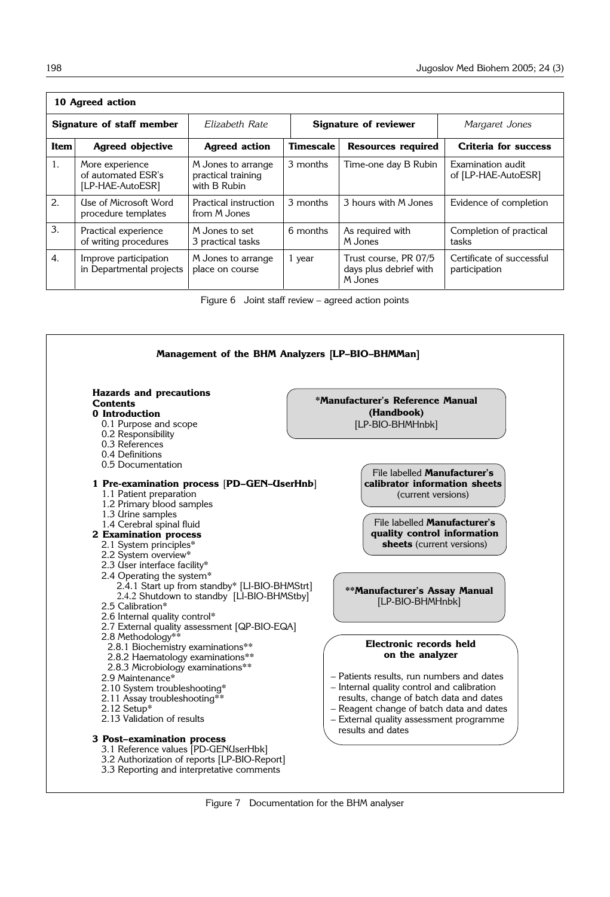| 10 Agreed action          |                                                           |                                                          |                       |                                                            |                                            |
|---------------------------|-----------------------------------------------------------|----------------------------------------------------------|-----------------------|------------------------------------------------------------|--------------------------------------------|
| Signature of staff member |                                                           | Elizabeth Rate                                           | Signature of reviewer |                                                            | Margaret Jones                             |
| Item                      | <b>Agreed objective</b>                                   | <b>Agreed action</b>                                     | <b>Timescale</b>      | <b>Resources required</b>                                  | Criteria for success                       |
| 1.                        | More experience<br>of automated ESR's<br>[LP-HAE-AutoESR] | M Jones to arrange<br>practical training<br>with B Rubin | 3 months              | Time-one day B Rubin                                       | Examination audit<br>of [LP-HAE-AutoESR]   |
| 2.                        | Use of Microsoft Word<br>procedure templates              | Practical instruction<br>from M Jones                    | 3 months              | 3 hours with M Jones                                       | Evidence of completion                     |
| $\mathbf{3}$ .            | Practical experience<br>of writing procedures             | M Jones to set<br>3 practical tasks                      | 6 months              | As required with<br>M Jones                                | Completion of practical<br>tasks           |
| $\overline{4}$ .          | Improve participation<br>in Departmental projects         | M Jones to arrange<br>place on course                    | 1 year                | Trust course, PR 07/5<br>days plus debrief with<br>M Jones | Certificate of successful<br>participation |

Figure 6 Joint staff review – agreed action points

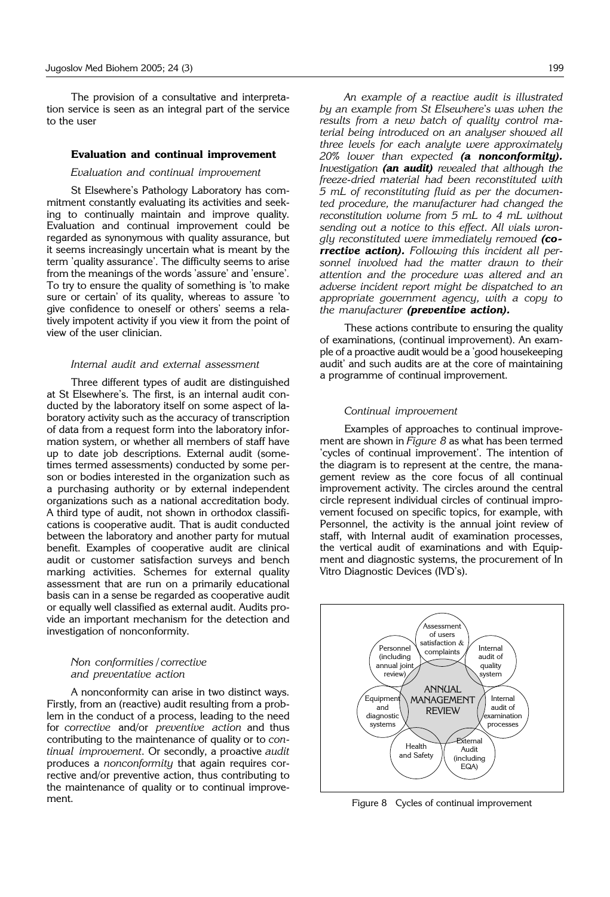The provision of a consultative and interpretation service is seen as an integral part of the service to the user

#### **Evaluation and continual improvement**

#### *Evaluation and continual improvement*

St Elsewhere's Pathology Laboratory has commitment constantly evaluating its activities and seeking to continually maintain and improve quality. Evaluation and continual improvement could be regarded as synonymous with quality assurance, but it seems increasingly uncertain what is meant by the term 'quality assurance'. The difficulty seems to arise from the meanings of the words 'assure' and 'ensure'. To try to ensure the quality of something is 'to make sure or certain' of its quality, whereas to assure 'to give confidence to oneself or others' seems a relatively impotent activity if you view it from the point of view of the user clinician.

### *Internal audit and external assessment*

Three different types of audit are distinguished at St Elsewhere's. The first, is an internal audit conducted by the laboratory itself on some aspect of laboratory activity such as the accuracy of transcription of data from a request form into the laboratory information system, or whether all members of staff have up to date job descriptions. External audit (sometimes termed assessments) conducted by some person or bodies interested in the organization such as a purchasing authority or by external independent organizations such as a national accreditation body. A third type of audit, not shown in orthodox classifications is cooperative audit. That is audit conducted between the laboratory and another party for mutual benefit. Examples of cooperative audit are clinical audit or customer satisfaction surveys and bench marking activities. Schemes for external quality assessment that are run on a primarily educational basis can in a sense be regarded as cooperative audit or equally well classified as external audit. Audits provide an important mechanism for the detection and investigation of nonconformity.

#### *Non conformities / corrective and preventative action*

A nonconformity can arise in two distinct ways. Firstly, from an (reactive) audit resulting from a problem in the conduct of a process, leading to the need for *corrective* and/or *preventive action* and thus contributing to the maintenance of quality or to *continual improvement*. Or secondly, a proactive *audit* produces a *nonconformity* that again requires corrective and/or preventive action, thus contributing to the maintenance of quality or to continual improvement.

*An example of a reactive audit is illustrated by an example from St Elsewhere*'*s was when the results from a new batch of quality control material being introduced on an analyser showed all three levels for each analyte were approximately 20% lower than expected (a nonconformity). Investigation (an audit) revealed that although the freeze*-*dried material had been reconstituted with 5 mL of reconstituting fluid as per the documented procedure, the manufacturer had changed the reconstitution volume from 5 mL to 4 mL without sending out a notice to this effect. All vials wrongly reconstituted were immediately removed (corrective action). Following this incident all personnel involved had the matter drawn to their attention and the procedure was altered and an adverse incident report might be dispatched to an appropriate government agency, with a copy to the manufacturer (preventive action).*

These actions contribute to ensuring the quality of examinations, (continual improvement). An example of a proactive audit would be a 'good housekeeping audit' and such audits are at the core of maintaining a programme of continual improvement.

#### *Continual improvement*

Examples of approaches to continual improvement are shown in *Figure 8* as what has been termed 'cycles of continual improvement'. The intention of the diagram is to represent at the centre, the management review as the core focus of all continual improvement activity. The circles around the central circle represent individual circles of continual improvement focused on specific topics, for example, with Personnel, the activity is the annual joint review of staff, with Internal audit of examination processes, the vertical audit of examinations and with Equipment and diagnostic systems, the procurement of In Vitro Diagnostic Devices (IVD's).



Figure 8 Cycles of continual improvement